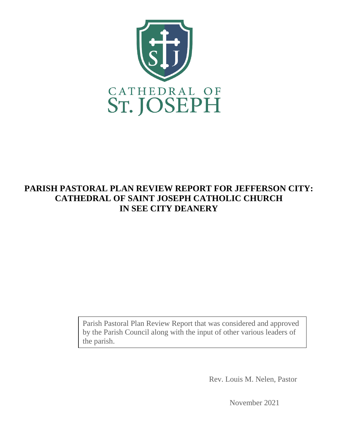

# **PARISH PASTORAL PLAN REVIEW REPORT FOR JEFFERSON CITY: CATHEDRAL OF SAINT JOSEPH CATHOLIC CHURCH IN SEE CITY DEANERY**

Parish Pastoral Plan Review Report that was considered and approved by the Parish Council along with the input of other various leaders of the parish.

Rev. Louis M. Nelen, Pastor

November 2021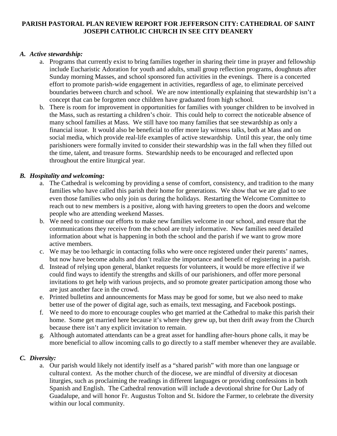#### **PARISH PASTORAL PLAN REVIEW REPORT FOR JEFFERSON CITY: CATHEDRAL OF SAINT JOSEPH CATHOLIC CHURCH IN SEE CITY DEANERY**

#### *A. Active stewardship:*

- a. Programs that currently exist to bring families together in sharing their time in prayer and fellowship include Eucharistic Adoration for youth and adults, small group reflection programs, doughnuts after Sunday morning Masses, and school sponsored fun activities in the evenings. There is a concerted effort to promote parish-wide engagement in activities, regardless of age, to eliminate perceived boundaries between church and school. We are now intentionally explaining that stewardship isn't a concept that can be forgotten once children have graduated from high school.
- b. There is room for improvement in opportunities for families with younger children to be involved in the Mass, such as restarting a children's choir. This could help to correct the noticeable absence of many school families at Mass. We still have too many families that see stewardship as only a financial issue. It would also be beneficial to offer more lay witness talks, both at Mass and on social media, which provide real-life examples of active stewardship. Until this year, the only time parishioners were formally invited to consider their stewardship was in the fall when they filled out the time, talent, and treasure forms. Stewardship needs to be encouraged and reflected upon throughout the entire liturgical year.

# *B. Hospitality and welcoming:*

- a. The Cathedral is welcoming by providing a sense of comfort, consistency, and tradition to the many families who have called this parish their home for generations. We show that we are glad to see even those families who only join us during the holidays. Restarting the Welcome Committee to reach out to new members is a positive, along with having greeters to open the doors and welcome people who are attending weekend Masses.
- b. We need to continue our efforts to make new families welcome in our school, and ensure that the communications they receive from the school are truly informative. New families need detailed information about what is happening in both the school and the parish if we want to grow more active members.
- c. We may be too lethargic in contacting folks who were once registered under their parents' names, but now have become adults and don't realize the importance and benefit of registering in a parish.
- d. Instead of relying upon general, blanket requests for volunteers, it would be more effective if we could find ways to identify the strengths and skills of our parishioners, and offer more personal invitations to get help with various projects, and so promote greater participation among those who are just another face in the crowd.
- e. Printed bulletins and announcements for Mass may be good for some, but we also need to make better use of the power of digital age, such as emails, text messaging, and Facebook postings.
- f. We need to do more to encourage couples who get married at the Cathedral to make this parish their home. Some get married here because it's where they grew up, but then drift away from the Church because there isn't any explicit invitation to remain.
- g. Although automated attendants can be a great asset for handling after-hours phone calls, it may be more beneficial to allow incoming calls to go directly to a staff member whenever they are available.

## *C. Diversity:*

a. Our parish would likely not identify itself as a "shared parish" with more than one language or cultural context. As the mother church of the diocese, we are mindful of diversity at diocesan liturgies, such as proclaiming the readings in different languages or providing confessions in both Spanish and English. The Cathedral renovation will include a devotional shrine for Our Lady of Guadalupe, and will honor Fr. Augustus Tolton and St. Isidore the Farmer, to celebrate the diversity within our local community.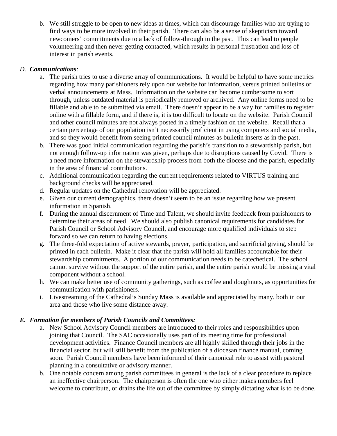b. We still struggle to be open to new ideas at times, which can discourage families who are trying to find ways to be more involved in their parish. There can also be a sense of skepticism toward newcomers' commitments due to a lack of follow-through in the past. This can lead to people volunteering and then never getting contacted, which results in personal frustration and loss of interest in parish events.

#### *D. Communications:*

- a. The parish tries to use a diverse array of communications. It would be helpful to have some metrics regarding how many parishioners rely upon our website for information, versus printed bulletins or verbal announcements at Mass. Information on the website can become cumbersome to sort through, unless outdated material is periodically removed or archived. Any online forms need to be fillable and able to be submitted via email. There doesn't appear to be a way for families to register online with a fillable form, and if there is, it is too difficult to locate on the website. Parish Council and other council minutes are not always posted in a timely fashion on the website. Recall that a certain percentage of our population isn't necessarily proficient in using computers and social media, and so they would benefit from seeing printed council minutes as bulletin inserts as in the past.
- b. There was good initial communication regarding the parish's transition to a stewardship parish, but not enough follow-up information was given, perhaps due to disruptions caused by Covid. There is a need more information on the stewardship process from both the diocese and the parish, especially in the area of financial contributions.
- c. Additional communication regarding the current requirements related to VIRTUS training and background checks will be appreciated.
- d. Regular updates on the Cathedral renovation will be appreciated.
- e. Given our current demographics, there doesn't seem to be an issue regarding how we present information in Spanish.
- f. During the annual discernment of Time and Talent, we should invite feedback from parishioners to determine their areas of need. We should also publish canonical requirements for candidates for Parish Council or School Advisory Council, and encourage more qualified individuals to step forward so we can return to having elections.
- g. The three-fold expectation of active stewards, prayer, participation, and sacrificial giving, should be printed in each bulletin. Make it clear that the parish will hold all families accountable for their stewardship commitments. A portion of our communication needs to be catechetical. The school cannot survive without the support of the entire parish, and the entire parish would be missing a vital component without a school.
- h. We can make better use of community gatherings, such as coffee and doughnuts, as opportunities for communication with parishioners.
- i. Livestreaming of the Cathedral's Sunday Mass is available and appreciated by many, both in our area and those who live some distance away.

#### *E. Formation for members of Parish Councils and Committees:*

- a. New School Advisory Council members are introduced to their roles and responsibilities upon joining that Council. The SAC occasionally uses part of its meeting time for professional development activities. Finance Council members are all highly skilled through their jobs in the financial sector, but will still benefit from the publication of a diocesan finance manual, coming soon. Parish Council members have been informed of their canonical role to assist with pastoral planning in a consultative or advisory manner.
- b. One notable concern among parish committees in general is the lack of a clear procedure to replace an ineffective chairperson. The chairperson is often the one who either makes members feel welcome to contribute, or drains the life out of the committee by simply dictating what is to be done.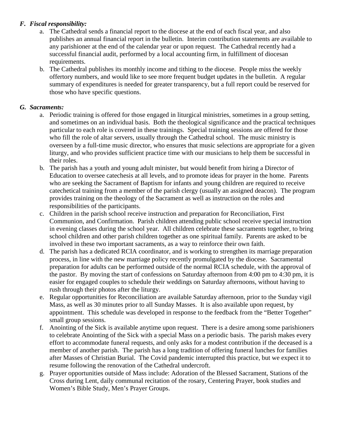#### *F. Fiscal responsibility:*

- a. The Cathedral sends a financial report to the diocese at the end of each fiscal year, and also publishes an annual financial report in the bulletin. Interim contribution statements are available to any parishioner at the end of the calendar year or upon request. The Cathedral recently had a successful financial audit, performed by a local accounting firm, in fulfillment of diocesan requirements.
- b. The Cathedral publishes its monthly income and tithing to the diocese. People miss the weekly offertory numbers, and would like to see more frequent budget updates in the bulletin. A regular summary of expenditures is needed for greater transparency, but a full report could be reserved for those who have specific questions.

#### *G. Sacraments:*

- a. Periodic training is offered for those engaged in liturgical ministries, sometimes in a group setting, and sometimes on an individual basis. Both the theological significance and the practical techniques particular to each role is covered in these trainings. Special training sessions are offered for those who fill the role of altar servers, usually through the Cathedral school. The music ministry is overseen by a full-time music director, who ensures that music selections are appropriate for a given liturgy, and who provides sufficient practice time with our musicians to help them be successful in their roles.
- b. The parish has a youth and young adult minister, but would benefit from hiring a Director of Education to oversee catechesis at all levels, and to promote ideas for prayer in the home. Parents who are seeking the Sacrament of Baptism for infants and young children are required to receive catechetical training from a member of the parish clergy (usually an assigned deacon). The program provides training on the theology of the Sacrament as well as instruction on the roles and responsibilities of the participants.
- c. Children in the parish school receive instruction and preparation for Reconciliation, First Communion, and Confirmation. Parish children attending public school receive special instruction in evening classes during the school year. All children celebrate these sacraments together, to bring school children and other parish children together as one spiritual family. Parents are asked to be involved in these two important sacraments, as a way to reinforce their own faith.
- d. The parish has a dedicated RCIA coordinator, and is working to strengthen its marriage preparation process, in line with the new marriage policy recently promulgated by the diocese. Sacramental preparation for adults can be performed outside of the normal RCIA schedule, with the approval of the pastor. By moving the start of confessions on Saturday afternoon from 4:00 pm to 4:30 pm, it is easier for engaged couples to schedule their weddings on Saturday afternoons, without having to rush through their photos after the liturgy.
- e. Regular opportunities for Reconciliation are available Saturday afternoon, prior to the Sunday vigil Mass, as well as 30 minutes prior to all Sunday Masses. It is also available upon request, by appointment. This schedule was developed in response to the feedback from the "Better Together" small group sessions.
- f. Anointing of the Sick is available anytime upon request. There is a desire among some parishioners to celebrate Anointing of the Sick with a special Mass on a periodic basis. The parish makes every effort to accommodate funeral requests, and only asks for a modest contribution if the deceased is a member of another parish. The parish has a long tradition of offering funeral lunches for families after Masses of Christian Burial. The Covid pandemic interrupted this practice, but we expect it to resume following the renovation of the Cathedral undercroft.
- g. Prayer opportunities outside of Mass include: Adoration of the Blessed Sacrament, Stations of the Cross during Lent, daily communal recitation of the rosary, Centering Prayer, book studies and Women's Bible Study, Men's Prayer Groups.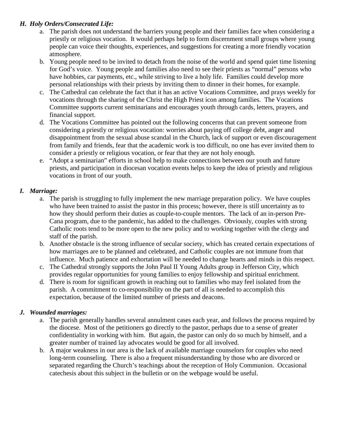## *H. Holy Orders/Consecrated Life:*

- a. The parish does not understand the barriers young people and their families face when considering a priestly or religious vocation. It would perhaps help to form discernment small groups where young people can voice their thoughts, experiences, and suggestions for creating a more friendly vocation atmosphere.
- b. Young people need to be invited to detach from the noise of the world and spend quiet time listening for God's voice. Young people and families also need to see their priests as "normal" persons who have hobbies, car payments, etc., while striving to live a holy life. Families could develop more personal relationships with their priests by inviting them to dinner in their homes, for example.
- c. The Cathedral can celebrate the fact that it has an active Vocations Committee, and prays weekly for vocations through the sharing of the Christ the High Priest icon among families. The Vocations Committee supports current seminarians and encourages youth through cards, letters, prayers, and financial support.
- d. The Vocations Committee has pointed out the following concerns that can prevent someone from considering a priestly or religious vocation: worries about paying off college debt, anger and disappointment from the sexual abuse scandal in the Church, lack of support or even discouragement from family and friends, fear that the academic work is too difficult, no one has ever invited them to consider a priestly or religious vocation, or fear that they are not holy enough.
- e. "Adopt a seminarian" efforts in school help to make connections between our youth and future priests, and participation in diocesan vocation events helps to keep the idea of priestly and religious vocations in front of our youth.

## *I. Marriage:*

- a. The parish is struggling to fully implement the new marriage preparation policy. We have couples who have been trained to assist the pastor in this process; however, there is still uncertainty as to how they should perform their duties as couple-to-couple mentors. The lack of an in-person Pre-Cana program, due to the pandemic, has added to the challenges. Obviously, couples with strong Catholic roots tend to be more open to the new policy and to working together with the clergy and staff of the parish.
- b. Another obstacle is the strong influence of secular society, which has created certain expectations of how marriages are to be planned and celebrated, and Catholic couples are not immune from that influence. Much patience and exhortation will be needed to change hearts and minds in this respect.
- c. The Cathedral strongly supports the John Paul II Young Adults group in Jefferson City, which provides regular opportunities for young families to enjoy fellowship and spiritual enrichment.
- d. There is room for significant growth in reaching out to families who may feel isolated from the parish. A commitment to co-responsibility on the part of all is needed to accomplish this expectation, because of the limited number of priests and deacons.

## *J. Wounded marriages:*

- a. The parish generally handles several annulment cases each year, and follows the process required by the diocese. Most of the petitioners go directly to the pastor, perhaps due to a sense of greater confidentiality in working with him. But again, the pastor can only do so much by himself, and a greater number of trained lay advocates would be good for all involved.
- b. A major weakness in our area is the lack of available marriage counselors for couples who need long-term counseling. There is also a frequent misunderstanding by those who are divorced or separated regarding the Church's teachings about the reception of Holy Communion. Occasional catechesis about this subject in the bulletin or on the webpage would be useful.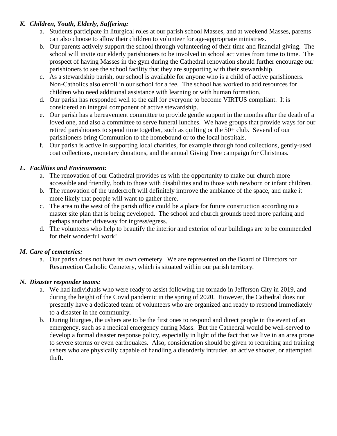## *K. Children, Youth, Elderly, Suffering:*

- a. Students participate in liturgical roles at our parish school Masses, and at weekend Masses, parents can also choose to allow their children to volunteer for age-appropriate ministries.
- b. Our parents actively support the school through volunteering of their time and financial giving. The school will invite our elderly parishioners to be involved in school activities from time to time. The prospect of having Masses in the gym during the Cathedral renovation should further encourage our parishioners to see the school facility that they are supporting with their stewardship.
- c. As a stewardship parish, our school is available for anyone who is a child of active parishioners. Non-Catholics also enroll in our school for a fee. The school has worked to add resources for children who need additional assistance with learning or with human formation.
- d. Our parish has responded well to the call for everyone to become VIRTUS compliant. It is considered an integral component of active stewardship.
- e. Our parish has a bereavement committee to provide gentle support in the months after the death of a loved one, and also a committee to serve funeral lunches. We have groups that provide ways for our retired parishioners to spend time together, such as quilting or the 50+ club. Several of our parishioners bring Communion to the homebound or to the local hospitals.
- f. Our parish is active in supporting local charities, for example through food collections, gently-used coat collections, monetary donations, and the annual Giving Tree campaign for Christmas.

# *L. Facilities and Environment:*

- a. The renovation of our Cathedral provides us with the opportunity to make our church more accessible and friendly, both to those with disabilities and to those with newborn or infant children.
- b. The renovation of the undercroft will definitely improve the ambiance of the space, and make it more likely that people will want to gather there.
- c. The area to the west of the parish office could be a place for future construction according to a master site plan that is being developed. The school and church grounds need more parking and perhaps another driveway for ingress/egress.
- d. The volunteers who help to beautify the interior and exterior of our buildings are to be commended for their wonderful work!

## *M. Care of cemeteries:*

a. Our parish does not have its own cemetery. We are represented on the Board of Directors for Resurrection Catholic Cemetery, which is situated within our parish territory.

## *N. Disaster responder teams:*

- a. We had individuals who were ready to assist following the tornado in Jefferson City in 2019, and during the height of the Covid pandemic in the spring of 2020. However, the Cathedral does not presently have a dedicated team of volunteers who are organized and ready to respond immediately to a disaster in the community.
- b. During liturgies, the ushers are to be the first ones to respond and direct people in the event of an emergency, such as a medical emergency during Mass. But the Cathedral would be well-served to develop a formal disaster response policy, especially in light of the fact that we live in an area prone to severe storms or even earthquakes. Also, consideration should be given to recruiting and training ushers who are physically capable of handling a disorderly intruder, an active shooter, or attempted theft.